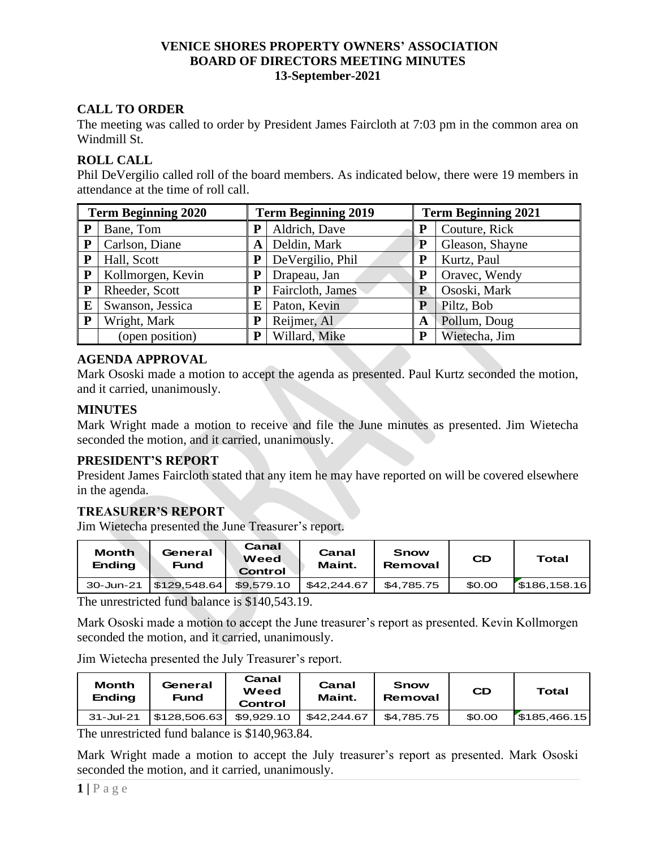# **CALL TO ORDER**

The meeting was called to order by President James Faircloth at 7:03 pm in the common area on Windmill St.

## **ROLL CALL**

Phil DeVergilio called roll of the board members. As indicated below, there were 19 members in attendance at the time of roll call.

| <b>Term Beginning 2020</b> |                   | <b>Term Beginning 2019</b> |                  | <b>Term Beginning 2021</b> |                 |  |
|----------------------------|-------------------|----------------------------|------------------|----------------------------|-----------------|--|
| P                          | Bane, Tom         |                            | Aldrich, Dave    | P                          | Couture, Rick   |  |
| P                          | Carlson, Diane    | A                          | Deldin, Mark     | P                          | Gleason, Shayne |  |
| P                          | Hall, Scott       |                            | DeVergilio, Phil | P                          | Kurtz, Paul     |  |
| ${\bf P}$                  | Kollmorgen, Kevin |                            | Drapeau, Jan     | P                          | Oravec, Wendy   |  |
| P                          | Rheeder, Scott    | P                          | Faircloth, James | P                          | Ososki, Mark    |  |
| E                          | Swanson, Jessica  | E                          | Paton, Kevin     | P                          | Piltz, Bob      |  |
| ${\bf P}$                  | Wright, Mark      | P                          | Reijmer, Al      | A                          | Pollum, Doug    |  |
|                            | (open position)   | P                          | Willard, Mike    | P                          | Wietecha, Jim   |  |

## **AGENDA APPROVAL**

Mark Ososki made a motion to accept the agenda as presented. Paul Kurtz seconded the motion, and it carried, unanimously.

#### **MINUTES**

Mark Wright made a motion to receive and file the June minutes as presented. Jim Wietecha seconded the motion, and it carried, unanimously.

### **PRESIDENT'S REPORT**

President James Faircloth stated that any item he may have reported on will be covered elsewhere in the agenda.

# **TREASURER'S REPORT**

Jim Wietecha presented the June Treasurer's report.

| <b>Month</b><br><b>Ending</b> | General<br><b>Fund</b> | Canal<br>Weed<br>Control | Canal<br>Maint. | Snow<br>Removal | CD     | Total       |
|-------------------------------|------------------------|--------------------------|-----------------|-----------------|--------|-------------|
| 30-Jun-21                     | \$129.548.64           | \$9.579.10               | \$42,244.67     | \$4.785.75      | \$0.00 | 5186,158.16 |

The unrestricted fund balance is \$140,543.19.

Mark Ososki made a motion to accept the June treasurer's report as presented. Kevin Kollmorgen seconded the motion, and it carried, unanimously.

Jim Wietecha presented the July Treasurer's report.

| <b>Month</b><br><b>Ending</b> | General<br><b>Fund</b> | Canal<br>Weed<br>Control | Canal<br>Maint. | Snow<br>Removal | CD     | Total        |
|-------------------------------|------------------------|--------------------------|-----------------|-----------------|--------|--------------|
| $31 -$ Jul-21                 | \$128,506.63           | \$9.929.10               | \$42,244.67     | \$4.785.75      | \$0.00 | \$185,466.15 |

The unrestricted fund balance is \$140,963.84.

Mark Wright made a motion to accept the July treasurer's report as presented. Mark Ososki seconded the motion, and it carried, unanimously.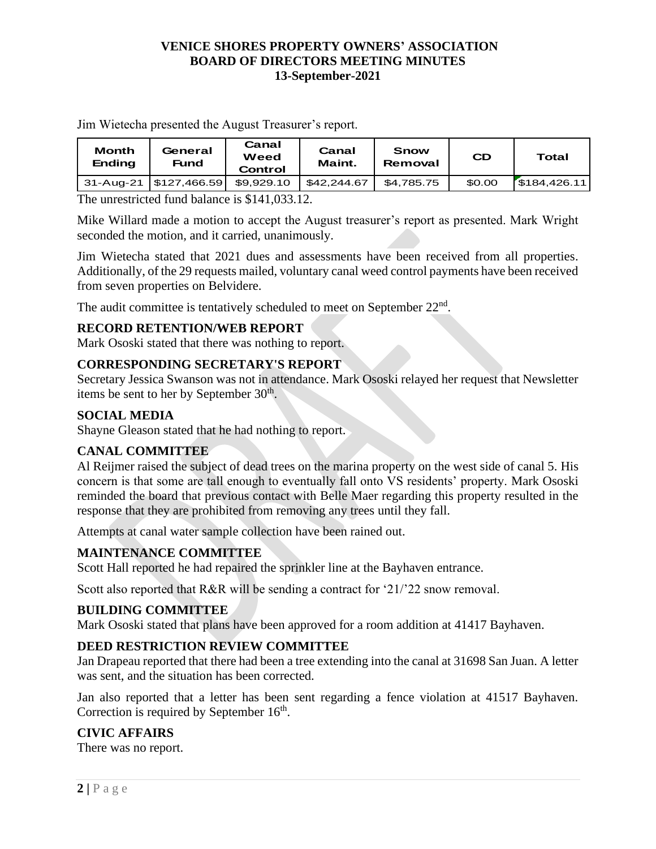Jim Wietecha presented the August Treasurer's report.

| <b>Month</b><br><b>Ending</b> | General<br>Fund       | Canal<br>Weed<br>Control | Canal<br>Maint. | Snow<br>Removal | <b>CD</b> | Total       |
|-------------------------------|-----------------------|--------------------------|-----------------|-----------------|-----------|-------------|
|                               | 31-Aug-21 S127,466.59 | \$9,929.10               | \$42,244.67     | \$4.785.75      | \$0.00    | 5184,426.11 |

The unrestricted fund balance is \$141,033.12.

Mike Willard made a motion to accept the August treasurer's report as presented. Mark Wright seconded the motion, and it carried, unanimously.

Jim Wietecha stated that 2021 dues and assessments have been received from all properties. Additionally, of the 29 requests mailed, voluntary canal weed control payments have been received from seven properties on Belvidere.

The audit committee is tentatively scheduled to meet on September  $22<sup>nd</sup>$ .

## **RECORD RETENTION/WEB REPORT**

Mark Ososki stated that there was nothing to report.

#### **CORRESPONDING SECRETARY'S REPORT**

Secretary Jessica Swanson was not in attendance. Mark Ososki relayed her request that Newsletter items be sent to her by September  $30<sup>th</sup>$ .

#### **SOCIAL MEDIA**

Shayne Gleason stated that he had nothing to report.

#### **CANAL COMMITTEE**

Al Reijmer raised the subject of dead trees on the marina property on the west side of canal 5. His concern is that some are tall enough to eventually fall onto VS residents' property. Mark Ososki reminded the board that previous contact with Belle Maer regarding this property resulted in the response that they are prohibited from removing any trees until they fall.

Attempts at canal water sample collection have been rained out.

#### **MAINTENANCE COMMITTEE**

Scott Hall reported he had repaired the sprinkler line at the Bayhaven entrance.

Scott also reported that R&R will be sending a contract for '21/'22 snow removal.

#### **BUILDING COMMITTEE**

Mark Ososki stated that plans have been approved for a room addition at 41417 Bayhaven.

#### **DEED RESTRICTION REVIEW COMMITTEE**

Jan Drapeau reported that there had been a tree extending into the canal at 31698 San Juan. A letter was sent, and the situation has been corrected.

Jan also reported that a letter has been sent regarding a fence violation at 41517 Bayhaven. Correction is required by September  $16<sup>th</sup>$ .

#### **CIVIC AFFAIRS**

There was no report.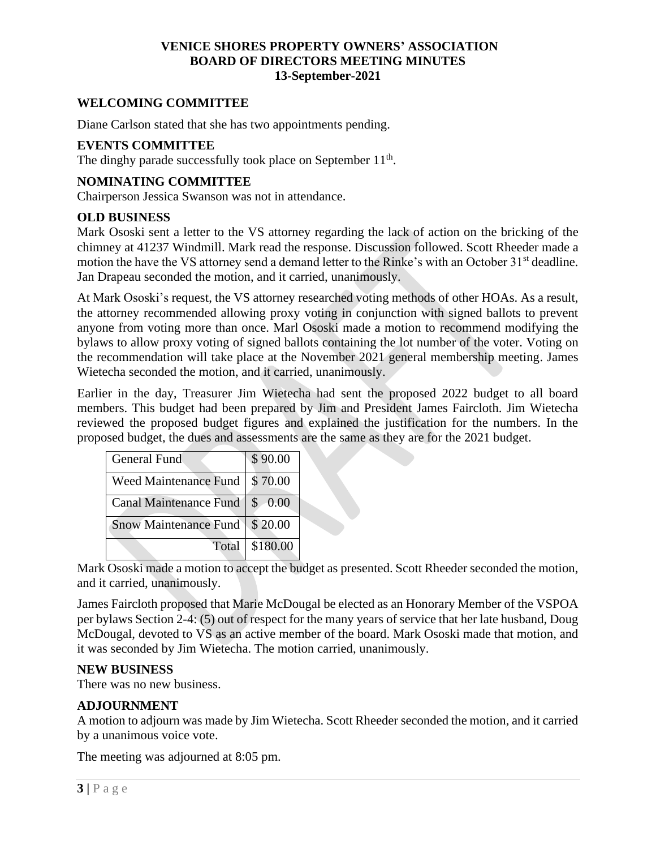### **WELCOMING COMMITTEE**

Diane Carlson stated that she has two appointments pending.

## **EVENTS COMMITTEE**

The dinghy parade successfully took place on September 11<sup>th</sup>.

#### **NOMINATING COMMITTEE**

Chairperson Jessica Swanson was not in attendance.

#### **OLD BUSINESS**

Mark Ososki sent a letter to the VS attorney regarding the lack of action on the bricking of the chimney at 41237 Windmill. Mark read the response. Discussion followed. Scott Rheeder made a motion the have the VS attorney send a demand letter to the Rinke's with an October 31<sup>st</sup> deadline. Jan Drapeau seconded the motion, and it carried, unanimously.

At Mark Ososki's request, the VS attorney researched voting methods of other HOAs. As a result, the attorney recommended allowing proxy voting in conjunction with signed ballots to prevent anyone from voting more than once. Marl Ososki made a motion to recommend modifying the bylaws to allow proxy voting of signed ballots containing the lot number of the voter. Voting on the recommendation will take place at the November 2021 general membership meeting. James Wietecha seconded the motion, and it carried, unanimously.

Earlier in the day, Treasurer Jim Wietecha had sent the proposed 2022 budget to all board members. This budget had been prepared by Jim and President James Faircloth. Jim Wietecha reviewed the proposed budget figures and explained the justification for the numbers. In the proposed budget, the dues and assessments are the same as they are for the 2021 budget.

| <b>General Fund</b>           | \$90.00  |
|-------------------------------|----------|
| <b>Weed Maintenance Fund</b>  | \$70.00  |
| <b>Canal Maintenance Fund</b> | \$0.00   |
| <b>Snow Maintenance Fund</b>  | \$20.00  |
| Total                         | \$180.00 |

Mark Ososki made a motion to accept the budget as presented. Scott Rheeder seconded the motion, and it carried, unanimously.

James Faircloth proposed that Marie McDougal be elected as an Honorary Member of the VSPOA per bylaws Section 2-4: (5) out of respect for the many years of service that her late husband, Doug McDougal, devoted to VS as an active member of the board. Mark Ososki made that motion, and it was seconded by Jim Wietecha. The motion carried, unanimously.

#### **NEW BUSINESS**

There was no new business.

#### **ADJOURNMENT**

A motion to adjourn was made by Jim Wietecha. Scott Rheeder seconded the motion, and it carried by a unanimous voice vote.

The meeting was adjourned at 8:05 pm.